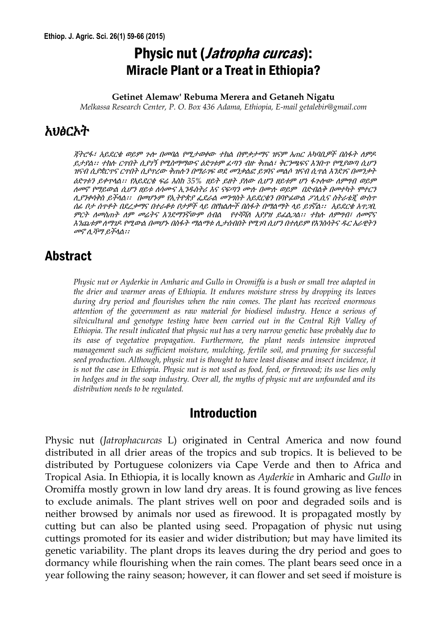# Physic nut (*Jatropha curcas*): Miracle Plant or a Treat in Ethiopia?

#### **Getinet Alemaw' Rebuma Merera and Getaneh Nigatu**

*Melkassa Research Center, P. O. Box 436 Adama, Ethiopia, E-mail getalebir@gmail.com*

## አህፅርኦት

ጃትሮፋ፣ አይደርቁ ወይም ጉሎ በመባል የሚታወቀው ተክል በምቃታማና ዝናም አጠር አካባቢዎች በስፋት ለምዶ ይታያል፡፡ ተክለ ርጥበት ሲያገኝ የሚስማማውና ዕድገቱም ፈጣን ብዙ ቅጠል፣ ቅርንጫፍና እንቡጥ የሚያወጣ ሲሆን ዝናብ ሲያቋርጥና ርጥበት ሲያዋረው ቅጠሉን በማራገፍ ወደ መንቃልፎ ይገባና መልሶ ዝናብ ሲጥል እንደገና በመንቃት ዕድገቱን ይቀጥሊል፡፡ የአይዯርቄ ፍሬ እስከ *35%* ዘይት ይዘት ያሇው ሲሆን ዘይቱም ሆነ ፋጉሎው ሇምግብ ወይም ሇመኖ የማይውል ሲሆን ዘይቱ ሇሳሙና ኢንደስትሪ እና ናፍጣን ሙለ በሙለ ወይምበድብልቅ በመተካት ሞተርን ሊያንቀሳቅስ ይችላል*፡፡ በመሆኑም የኢትዮጵያ ፌደራል መንግስት አይደርቄን በባዮፊውል ፖሊሲና ስትራቴጂ ውስጥ* ሰፊ ቦታ ሰጥቶት በዯረቃማና በተራቆቱ ቦታዎች ሊይ በየክልሎች በስፋት በማልማት ሊይ ይገኛል፡፡አይዯርቄ አጥጋቢ ምርት ለመስጠት ለም መሬትና እንደማንኛውም ሰብል የተሻሻለ አያያዝ ይፈል*ጋል፡፡ ተከሉ ለምግብ፣ ለመኖና* እንጨቱም ለማገዶ የሚውል በመሆኑ በስፋት ማልማቱ ሊታሰብበት የሚገባ ሲሆን በተለይም የእንስሳትና ዳር አራዊትን መኖ ሉሻማ ይችሊል፡፡

### Abstract

*Physic nut or Ayderkie in Amharic and Gullo in Oromiffa is a bush or small tree adapted in the drier and warmer areas of Ethiopia. It endures moisture stress by dropping its leaves during dry period and flourishes when the rain comes. The plant has received enormous attention of the government as raw material for biodiesel industry. Hence a serious of silvicultural and genotype testing have been carried out in the Central Rift Valley of Ethiopia. The result indicated that physic nut has a very narrow genetic base probably due to its ease of vegetative propagation. Furthermore, the plant needs intensive improved management such as sufficient moisture, mulching, fertile soil, and pruning for successful seed production. Although, physic nut is thought to have least disease and insect incidence, it is not the case in Ethiopia. Physic nut is not used as food, feed, or firewood; its use lies only in hedges and in the soap industry. Over all, the myths of physic nut are unfounded and its distribution needs to be regulated.*

#### Introduction

Physic nut (*Jatrophacurcas* L) originated in Central America and now found distributed in all drier areas of the tropics and sub tropics. It is believed to be distributed by Portuguese colonizers via Cape Verde and then to Africa and Tropical Asia. In Ethiopia, it is locally known as *Ayderkie* in Amharic and *Gullo* in Oromiffa mostly grown in low land dry areas. It is found growing as live fences to exclude animals. The plant strives well on poor and degraded soils and is neither browsed by animals nor used as firewood. It is propagated mostly by cutting but can also be planted using seed. Propagation of physic nut using cuttings promoted for its easier and wider distribution; but may have limited its genetic variability. The plant drops its leaves during the dry period and goes to dormancy while flourishing when the rain comes. The plant bears seed once in a year following the rainy season; however, it can flower and set seed if moisture is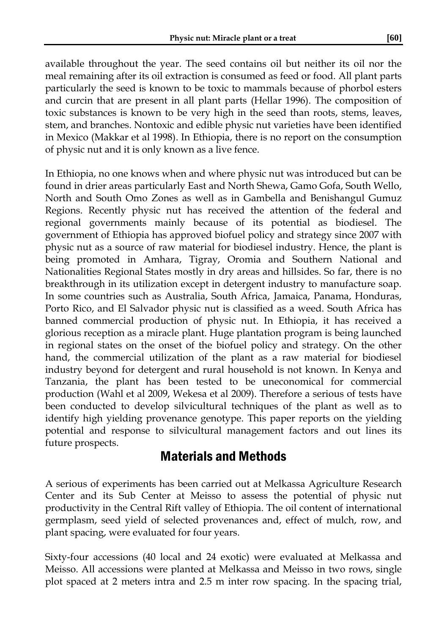available throughout the year. The seed contains oil but neither its oil nor the meal remaining after its oil extraction is consumed as feed or food. All plant parts particularly the seed is known to be toxic to mammals because of phorbol esters and curcin that are present in all plant parts (Hellar 1996). The composition of toxic substances is known to be very high in the seed than roots, stems, leaves, stem, and branches. Nontoxic and edible physic nut varieties have been identified in Mexico (Makkar et al 1998). In Ethiopia, there is no report on the consumption of physic nut and it is only known as a live fence.

In Ethiopia, no one knows when and where physic nut was introduced but can be found in drier areas particularly East and North Shewa, Gamo Gofa, South Wello, North and South Omo Zones as well as in Gambella and Benishangul Gumuz Regions. Recently physic nut has received the attention of the federal and regional governments mainly because of its potential as biodiesel. The government of Ethiopia has approved biofuel policy and strategy since 2007 with physic nut as a source of raw material for biodiesel industry. Hence, the plant is being promoted in Amhara, Tigray, Oromia and Southern National and Nationalities Regional States mostly in dry areas and hillsides. So far, there is no breakthrough in its utilization except in detergent industry to manufacture soap. In some countries such as Australia, South Africa, Jamaica, Panama, Honduras, Porto Rico, and El Salvador physic nut is classified as a weed. South Africa has banned commercial production of physic nut. In Ethiopia, it has received a glorious reception as a miracle plant. Huge plantation program is being launched in regional states on the onset of the biofuel policy and strategy. On the other hand, the commercial utilization of the plant as a raw material for biodiesel industry beyond for detergent and rural household is not known. In Kenya and Tanzania, the plant has been tested to be uneconomical for commercial production (Wahl et al 2009, Wekesa et al 2009). Therefore a serious of tests have been conducted to develop silvicultural techniques of the plant as well as to identify high yielding provenance genotype. This paper reports on the yielding potential and response to silvicultural management factors and out lines its future prospects.

## Materials and Methods

A serious of experiments has been carried out at Melkassa Agriculture Research Center and its Sub Center at Meisso to assess the potential of physic nut productivity in the Central Rift valley of Ethiopia. The oil content of international germplasm, seed yield of selected provenances and, effect of mulch, row, and plant spacing, were evaluated for four years.

Sixty-four accessions (40 local and 24 exotic) were evaluated at Melkassa and Meisso. All accessions were planted at Melkassa and Meisso in two rows, single plot spaced at 2 meters intra and 2.5 m inter row spacing. In the spacing trial,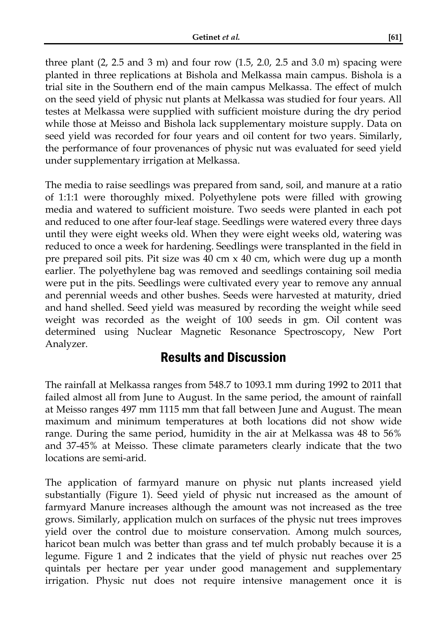three plant (2, 2.5 and 3 m) and four row (1.5, 2.0, 2.5 and 3.0 m) spacing were planted in three replications at Bishola and Melkassa main campus. Bishola is a trial site in the Southern end of the main campus Melkassa. The effect of mulch on the seed yield of physic nut plants at Melkassa was studied for four years. All testes at Melkassa were supplied with sufficient moisture during the dry period while those at Meisso and Bishola lack supplementary moisture supply. Data on seed yield was recorded for four years and oil content for two years. Similarly, the performance of four provenances of physic nut was evaluated for seed yield under supplementary irrigation at Melkassa.

The media to raise seedlings was prepared from sand, soil, and manure at a ratio of 1:1:1 were thoroughly mixed. Polyethylene pots were filled with growing media and watered to sufficient moisture. Two seeds were planted in each pot and reduced to one after four-leaf stage. Seedlings were watered every three days until they were eight weeks old. When they were eight weeks old, watering was reduced to once a week for hardening. Seedlings were transplanted in the field in pre prepared soil pits. Pit size was  $40 \text{ cm} \times 40 \text{ cm}$ , which were dug up a month earlier. The polyethylene bag was removed and seedlings containing soil media were put in the pits. Seedlings were cultivated every year to remove any annual and perennial weeds and other bushes. Seeds were harvested at maturity, dried and hand shelled. Seed yield was measured by recording the weight while seed weight was recorded as the weight of 100 seeds in gm. Oil content was determined using Nuclear Magnetic Resonance Spectroscopy, New Port Analyzer.

## Results and Discussion

The rainfall at Melkassa ranges from 548.7 to 1093.1 mm during 1992 to 2011 that failed almost all from June to August. In the same period, the amount of rainfall at Meisso ranges 497 mm 1115 mm that fall between June and August. The mean maximum and minimum temperatures at both locations did not show wide range. During the same period, humidity in the air at Melkassa was 48 to 56% and 37-45% at Meisso. These climate parameters clearly indicate that the two locations are semi-arid.

The application of farmyard manure on physic nut plants increased yield substantially (Figure 1). Seed yield of physic nut increased as the amount of farmyard Manure increases although the amount was not increased as the tree grows. Similarly, application mulch on surfaces of the physic nut trees improves yield over the control due to moisture conservation. Among mulch sources, haricot bean mulch was better than grass and tef mulch probably because it is a legume. Figure 1 and 2 indicates that the yield of physic nut reaches over 25 quintals per hectare per year under good management and supplementary irrigation. Physic nut does not require intensive management once it is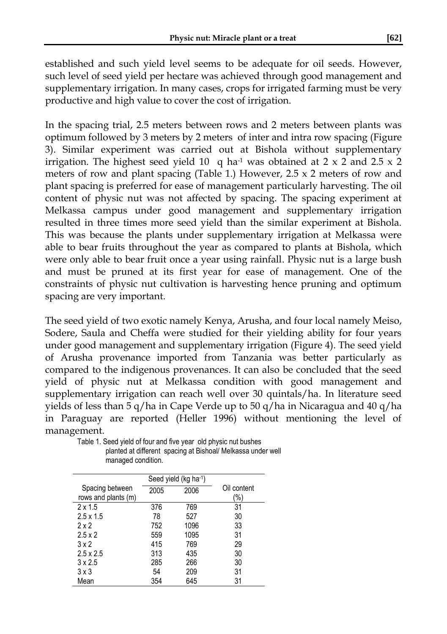established and such yield level seems to be adequate for oil seeds. However, such level of seed yield per hectare was achieved through good management and supplementary irrigation. In many cases, crops for irrigated farming must be very productive and high value to cover the cost of irrigation.

In the spacing trial, 2.5 meters between rows and 2 meters between plants was optimum followed by 3 meters by 2 meters of inter and intra row spacing (Figure 3). Similar experiment was carried out at Bishola without supplementary irrigation. The highest seed yield 10 q ha<sup>-1</sup> was obtained at 2 x 2 and 2.5 x 2 meters of row and plant spacing (Table 1.) However, 2.5 x 2 meters of row and plant spacing is preferred for ease of management particularly harvesting. The oil content of physic nut was not affected by spacing. The spacing experiment at Melkassa campus under good management and supplementary irrigation resulted in three times more seed yield than the similar experiment at Bishola. This was because the plants under supplementary irrigation at Melkassa were able to bear fruits throughout the year as compared to plants at Bishola, which were only able to bear fruit once a year using rainfall. Physic nut is a large bush and must be pruned at its first year for ease of management. One of the constraints of physic nut cultivation is harvesting hence pruning and optimum spacing are very important.

The seed yield of two exotic namely Kenya, Arusha, and four local namely Meiso, Sodere, Saula and Cheffa were studied for their yielding ability for four years under good management and supplementary irrigation (Figure 4). The seed yield of Arusha provenance imported from Tanzania was better particularly as compared to the indigenous provenances. It can also be concluded that the seed yield of physic nut at Melkassa condition with good management and supplementary irrigation can reach well over 30 quintals/ha. In literature seed yields of less than 5 q/ha in Cape Verde up to 50 q/ha in Nicaragua and 40 q/ha in Paraguay are reported (Heller 1996) without mentioning the level of management.

|                     | Seed yield (kg ha-1) |      |             |  |
|---------------------|----------------------|------|-------------|--|
| Spacing between     | 2005                 | 2006 | Oil content |  |
| rows and plants (m) |                      |      | (%)         |  |
| $2 \times 1.5$      | 376                  | 769  | 31          |  |
| $2.5 \times 1.5$    | 78                   | 527  | 30          |  |
| 2x2                 | 752                  | 1096 | 33          |  |
| $2.5 \times 2$      | 559                  | 1095 | 31          |  |
| 3x2                 | 415                  | 769  | 29          |  |
| $2.5 \times 2.5$    | 313                  | 435  | 30          |  |
| $3 \times 2.5$      | 285                  | 266  | 30          |  |
| $3 \times 3$        | 54                   | 209  | 31          |  |
| Mean                | 354                  | 645  | 31          |  |

Table 1. Seed yield of four and five year old physic nut bushes planted at different spacing at Bishoal/ Melkassa under well managed condition.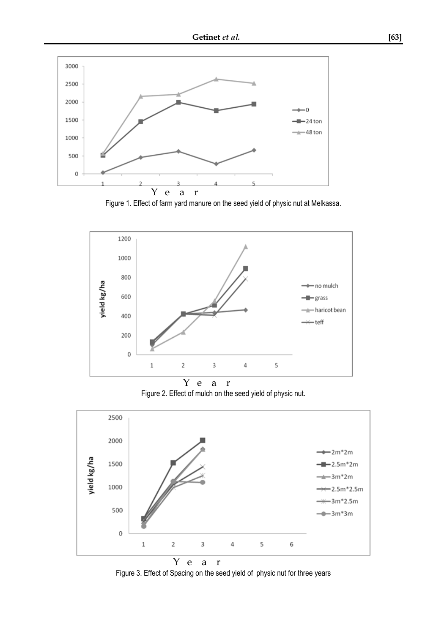

Figure 1. Effect of farm yard manure on the seed yield of physic nut at Melkassa.



 Y e a r Figure 2. Effect of mulch on the seed yield of physic nut.



Figure 3. Effect of Spacing on the seed yield of physic nut for three years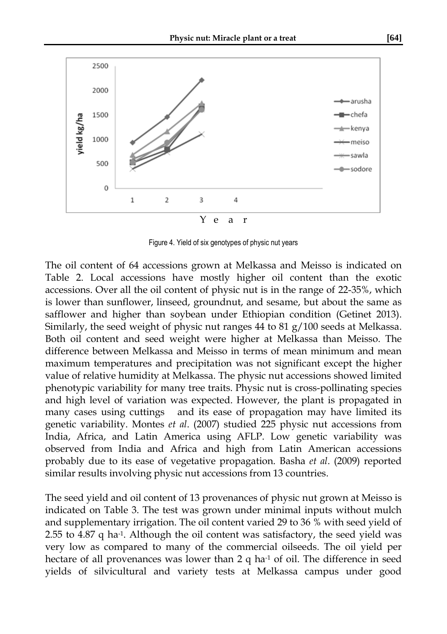

Figure 4. Yield of six genotypes of physic nut years

The oil content of 64 accessions grown at Melkassa and Meisso is indicated on Table 2. Local accessions have mostly higher oil content than the exotic accessions. Over all the oil content of physic nut is in the range of 22-35%, which is lower than sunflower, linseed, groundnut, and sesame, but about the same as safflower and higher than soybean under Ethiopian condition (Getinet 2013). Similarly, the seed weight of physic nut ranges 44 to 81  $g/100$  seeds at Melkassa. Both oil content and seed weight were higher at Melkassa than Meisso. The difference between Melkassa and Meisso in terms of mean minimum and mean maximum temperatures and precipitation was not significant except the higher value of relative humidity at Melkassa. The physic nut accessions showed limited phenotypic variability for many tree traits. Physic nut is cross-pollinating species and high level of variation was expected. However, the plant is propagated in many cases using cuttings and its ease of propagation may have limited its genetic variability. Montes *et al*. (2007) studied 225 physic nut accessions from India, Africa, and Latin America using AFLP. Low genetic variability was observed from India and Africa and high from Latin American accessions probably due to its ease of vegetative propagation. Basha *et al*. (2009) reported similar results involving physic nut accessions from 13 countries.

The seed yield and oil content of 13 provenances of physic nut grown at Meisso is indicated on Table 3. The test was grown under minimal inputs without mulch and supplementary irrigation. The oil content varied 29 to 36 % with seed yield of 2.55 to 4.87 q ha-1. Although the oil content was satisfactory, the seed yield was very low as compared to many of the commercial oilseeds. The oil yield per hectare of all provenances was lower than 2 q ha<sup>-1</sup> of oil. The difference in seed yields of silvicultural and variety tests at Melkassa campus under good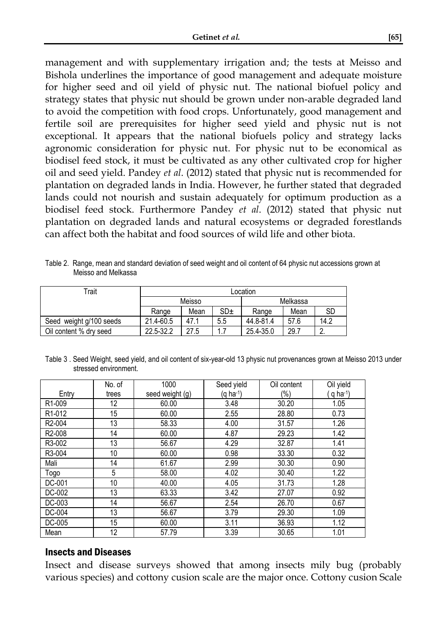management and with supplementary irrigation and; the tests at Meisso and Bishola underlines the importance of good management and adequate moisture for higher seed and oil yield of physic nut. The national biofuel policy and strategy states that physic nut should be grown under non-arable degraded land to avoid the competition with food crops. Unfortunately, good management and fertile soil are prerequisites for higher seed yield and physic nut is not exceptional. It appears that the national biofuels policy and strategy lacks agronomic consideration for physic nut. For physic nut to be economical as biodisel feed stock, it must be cultivated as any other cultivated crop for higher oil and seed yield. Pandey *et al*. (2012) stated that physic nut is recommended for plantation on degraded lands in India. However, he further stated that degraded lands could not nourish and sustain adequately for optimum production as a biodisel feed stock. Furthermore Pandey *et al*. (2012) stated that physic nut plantation on degraded lands and natural ecosystems or degraded forestlands can affect both the habitat and food sources of wild life and other biota.

Table 2. Range, mean and standard deviation of seed weight and oil content of 64 physic nut accessions grown at Meisso and Melkassa

| Trait                   | Location  |      |                 |           |      |           |
|-------------------------|-----------|------|-----------------|-----------|------|-----------|
|                         | Meisso    |      |                 | Melkassa  |      |           |
|                         | Range     | Mean | SD <sub>±</sub> | Range     | Mean | <b>SD</b> |
| Seed weight g/100 seeds | 21.4-60.5 | 47.1 | 5.5             | 44.8-81.4 | 57.6 | 14.2      |
| Oil content % dry seed  | 22.5-32.2 | 27.5 |                 | 25.4-35.0 | 29.7 | c         |

Table 3 . Seed Weight, seed yield, and oil content of six-year-old 13 physic nut provenances grown at Meisso 2013 under stressed environment.

|                     | No. of | 1000            | Seed yield | Oil content | Oil yield   |
|---------------------|--------|-----------------|------------|-------------|-------------|
| Entry               | trees  | seed weight (g) | (g ha-1)   | (%)         | q ha $-1$ ) |
| R <sub>1</sub> -009 | 12     | 60.00           | 3.48       | 30.20       | 1.05        |
| R <sub>1</sub> -012 | 15     | 60.00           | 2.55       | 28.80       | 0.73        |
| R <sub>2</sub> -004 | 13     | 58.33           | 4.00       | 31.57       | 1.26        |
| R <sub>2</sub> -008 | 14     | 60.00           | 4.87       | 29.23       | 1.42        |
| R3-002              | 13     | 56.67           | 4.29       | 32.87       | 1.41        |
| R3-004              | 10     | 60.00           | 0.98       | 33.30       | 0.32        |
| Mali                | 14     | 61.67           | 2.99       | 30.30       | 0.90        |
| Togo                | 5      | 58.00           | 4.02       | 30.40       | 1.22        |
| DC-001              | 10     | 40.00           | 4.05       | 31.73       | 1.28        |
| DC-002              | 13     | 63.33           | 3.42       | 27.07       | 0.92        |
| DC-003              | 14     | 56.67           | 2.54       | 26.70       | 0.67        |
| DC-004              | 13     | 56.67           | 3.79       | 29.30       | 1.09        |
| DC-005              | 15     | 60.00           | 3.11       | 36.93       | 1.12        |
| Mean                | 12     | 57.79           | 3.39       | 30.65       | 1.01        |

#### Insects and Diseases

Insect and disease surveys showed that among insects mily bug (probably various species) and cottony cusion scale are the major once. Cottony cusion Scale